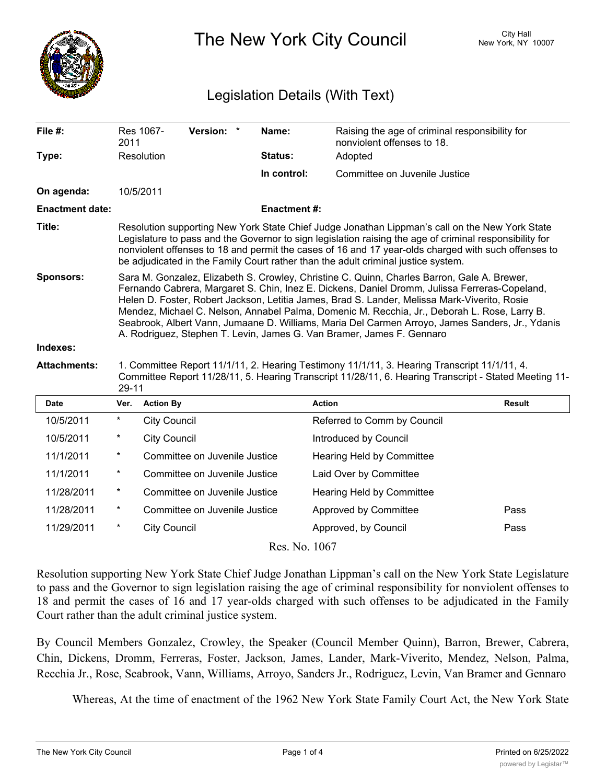

The New York City Council New York, NY 10007

## Legislation Details (With Text)

| File #:                | 2011                                                                                                                                                                                                                                                                                                                                                                                                                                                                                                                                                                     | Res 1067-           | <b>Version:</b>               | $^\star$ | Name:              | Raising the age of criminal responsibility for<br>nonviolent offenses to 18. |               |
|------------------------|--------------------------------------------------------------------------------------------------------------------------------------------------------------------------------------------------------------------------------------------------------------------------------------------------------------------------------------------------------------------------------------------------------------------------------------------------------------------------------------------------------------------------------------------------------------------------|---------------------|-------------------------------|----------|--------------------|------------------------------------------------------------------------------|---------------|
| Type:                  |                                                                                                                                                                                                                                                                                                                                                                                                                                                                                                                                                                          | Resolution          |                               |          | <b>Status:</b>     | Adopted                                                                      |               |
|                        |                                                                                                                                                                                                                                                                                                                                                                                                                                                                                                                                                                          |                     |                               |          | In control:        | Committee on Juvenile Justice                                                |               |
| On agenda:             | 10/5/2011                                                                                                                                                                                                                                                                                                                                                                                                                                                                                                                                                                |                     |                               |          |                    |                                                                              |               |
| <b>Enactment date:</b> |                                                                                                                                                                                                                                                                                                                                                                                                                                                                                                                                                                          |                     |                               |          | <b>Enactment#:</b> |                                                                              |               |
| Title:                 | Resolution supporting New York State Chief Judge Jonathan Lippman's call on the New York State<br>Legislature to pass and the Governor to sign legislation raising the age of criminal responsibility for<br>nonviolent offenses to 18 and permit the cases of 16 and 17 year-olds charged with such offenses to<br>be adjudicated in the Family Court rather than the adult criminal justice system.                                                                                                                                                                    |                     |                               |          |                    |                                                                              |               |
| <b>Sponsors:</b>       | Sara M. Gonzalez, Elizabeth S. Crowley, Christine C. Quinn, Charles Barron, Gale A. Brewer,<br>Fernando Cabrera, Margaret S. Chin, Inez E. Dickens, Daniel Dromm, Julissa Ferreras-Copeland,<br>Helen D. Foster, Robert Jackson, Letitia James, Brad S. Lander, Melissa Mark-Viverito, Rosie<br>Mendez, Michael C. Nelson, Annabel Palma, Domenic M. Recchia, Jr., Deborah L. Rose, Larry B.<br>Seabrook, Albert Vann, Jumaane D. Williams, Maria Del Carmen Arroyo, James Sanders, Jr., Ydanis<br>A. Rodriguez, Stephen T. Levin, James G. Van Bramer, James F. Gennaro |                     |                               |          |                    |                                                                              |               |
| Indexes:               |                                                                                                                                                                                                                                                                                                                                                                                                                                                                                                                                                                          |                     |                               |          |                    |                                                                              |               |
| <b>Attachments:</b>    | 1. Committee Report 11/1/11, 2. Hearing Testimony 11/1/11, 3. Hearing Transcript 11/1/11, 4.<br>Committee Report 11/28/11, 5. Hearing Transcript 11/28/11, 6. Hearing Transcript - Stated Meeting 11-<br>$29 - 11$                                                                                                                                                                                                                                                                                                                                                       |                     |                               |          |                    |                                                                              |               |
| <b>Date</b>            | Ver.                                                                                                                                                                                                                                                                                                                                                                                                                                                                                                                                                                     | <b>Action By</b>    |                               |          |                    | <b>Action</b>                                                                | <b>Result</b> |
| 10/5/2011              | $^\star$                                                                                                                                                                                                                                                                                                                                                                                                                                                                                                                                                                 | <b>City Council</b> |                               |          |                    | Referred to Comm by Council                                                  |               |
| 10/5/2011              | $\ast$                                                                                                                                                                                                                                                                                                                                                                                                                                                                                                                                                                   | <b>City Council</b> |                               |          |                    | Introduced by Council                                                        |               |
| 11/1/2011              | $^\star$                                                                                                                                                                                                                                                                                                                                                                                                                                                                                                                                                                 |                     | Committee on Juvenile Justice |          |                    | Hearing Held by Committee                                                    |               |
| 11/1/2011              | $\ast$                                                                                                                                                                                                                                                                                                                                                                                                                                                                                                                                                                   |                     | Committee on Juvenile Justice |          |                    | Laid Over by Committee                                                       |               |
| 11/28/2011             | *                                                                                                                                                                                                                                                                                                                                                                                                                                                                                                                                                                        |                     | Committee on Juvenile Justice |          |                    | Hearing Held by Committee                                                    |               |
| 11/28/2011             | $\ast$                                                                                                                                                                                                                                                                                                                                                                                                                                                                                                                                                                   |                     | Committee on Juvenile Justice |          |                    | Approved by Committee                                                        | Pass          |
| 11/29/2011             | $^\star$                                                                                                                                                                                                                                                                                                                                                                                                                                                                                                                                                                 | <b>City Council</b> |                               |          |                    | Approved, by Council                                                         | Pass          |

Res. No. 1067

Resolution supporting New York State Chief Judge Jonathan Lippman's call on the New York State Legislature to pass and the Governor to sign legislation raising the age of criminal responsibility for nonviolent offenses to 18 and permit the cases of 16 and 17 year-olds charged with such offenses to be adjudicated in the Family Court rather than the adult criminal justice system.

By Council Members Gonzalez, Crowley, the Speaker (Council Member Quinn), Barron, Brewer, Cabrera, Chin, Dickens, Dromm, Ferreras, Foster, Jackson, James, Lander, Mark-Viverito, Mendez, Nelson, Palma, Recchia Jr., Rose, Seabrook, Vann, Williams, Arroyo, Sanders Jr., Rodriguez, Levin, Van Bramer and Gennaro

Whereas, At the time of enactment of the 1962 New York State Family Court Act, the New York State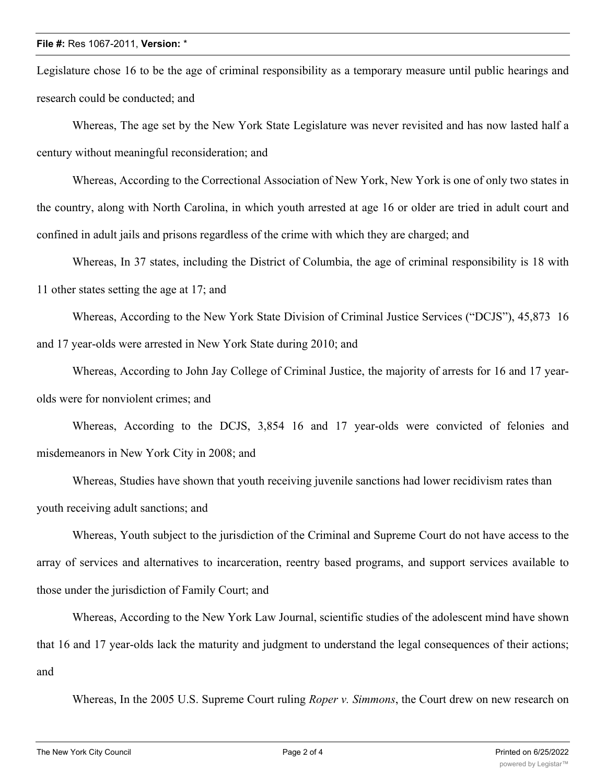## **File #:** Res 1067-2011, **Version:** \*

Legislature chose 16 to be the age of criminal responsibility as a temporary measure until public hearings and research could be conducted; and

Whereas, The age set by the New York State Legislature was never revisited and has now lasted half a century without meaningful reconsideration; and

Whereas, According to the Correctional Association of New York, New York is one of only two states in the country, along with North Carolina, in which youth arrested at age 16 or older are tried in adult court and confined in adult jails and prisons regardless of the crime with which they are charged; and

Whereas, In 37 states, including the District of Columbia, the age of criminal responsibility is 18 with 11 other states setting the age at 17; and

Whereas, According to the New York State Division of Criminal Justice Services ("DCJS"), 45,873 16 and 17 year-olds were arrested in New York State during 2010; and

Whereas, According to John Jay College of Criminal Justice, the majority of arrests for 16 and 17 yearolds were for nonviolent crimes; and

Whereas, According to the DCJS, 3,854 16 and 17 year-olds were convicted of felonies and misdemeanors in New York City in 2008; and

Whereas, Studies have shown that youth receiving juvenile sanctions had lower recidivism rates than youth receiving adult sanctions; and

Whereas, Youth subject to the jurisdiction of the Criminal and Supreme Court do not have access to the array of services and alternatives to incarceration, reentry based programs, and support services available to those under the jurisdiction of Family Court; and

Whereas, According to the New York Law Journal, scientific studies of the adolescent mind have shown that 16 and 17 year-olds lack the maturity and judgment to understand the legal consequences of their actions; and

Whereas, In the 2005 U.S. Supreme Court ruling *Roper v. Simmons*, the Court drew on new research on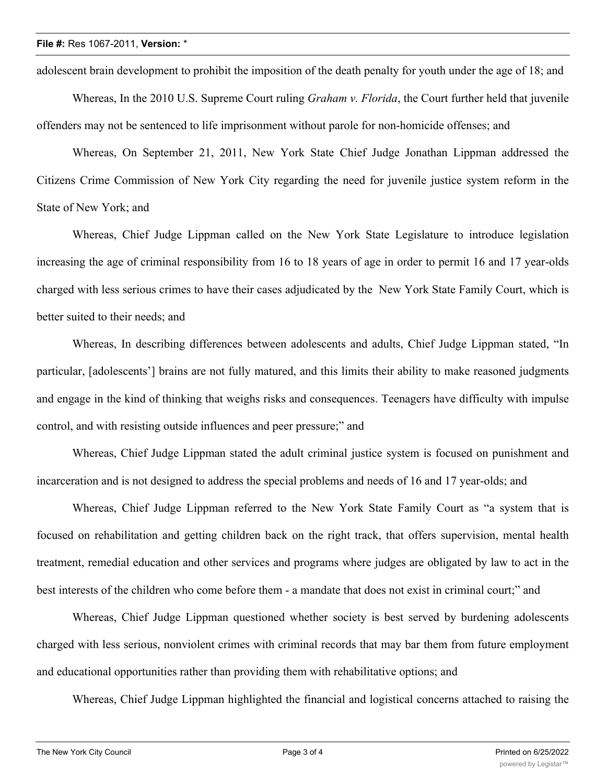adolescent brain development to prohibit the imposition of the death penalty for youth under the age of 18; and

Whereas, In the 2010 U.S. Supreme Court ruling *Graham v. Florida*, the Court further held that juvenile offenders may not be sentenced to life imprisonment without parole for non-homicide offenses; and

Whereas, On September 21, 2011, New York State Chief Judge Jonathan Lippman addressed the Citizens Crime Commission of New York City regarding the need for juvenile justice system reform in the State of New York; and

Whereas, Chief Judge Lippman called on the New York State Legislature to introduce legislation increasing the age of criminal responsibility from 16 to 18 years of age in order to permit 16 and 17 year-olds charged with less serious crimes to have their cases adjudicated by the New York State Family Court, which is better suited to their needs; and

Whereas, In describing differences between adolescents and adults, Chief Judge Lippman stated, "In particular, [adolescents'] brains are not fully matured, and this limits their ability to make reasoned judgments and engage in the kind of thinking that weighs risks and consequences. Teenagers have difficulty with impulse control, and with resisting outside influences and peer pressure;" and

Whereas, Chief Judge Lippman stated the adult criminal justice system is focused on punishment and incarceration and is not designed to address the special problems and needs of 16 and 17 year-olds; and

Whereas, Chief Judge Lippman referred to the New York State Family Court as "a system that is focused on rehabilitation and getting children back on the right track, that offers supervision, mental health treatment, remedial education and other services and programs where judges are obligated by law to act in the best interests of the children who come before them - a mandate that does not exist in criminal court;" and

Whereas, Chief Judge Lippman questioned whether society is best served by burdening adolescents charged with less serious, nonviolent crimes with criminal records that may bar them from future employment and educational opportunities rather than providing them with rehabilitative options; and

Whereas, Chief Judge Lippman highlighted the financial and logistical concerns attached to raising the